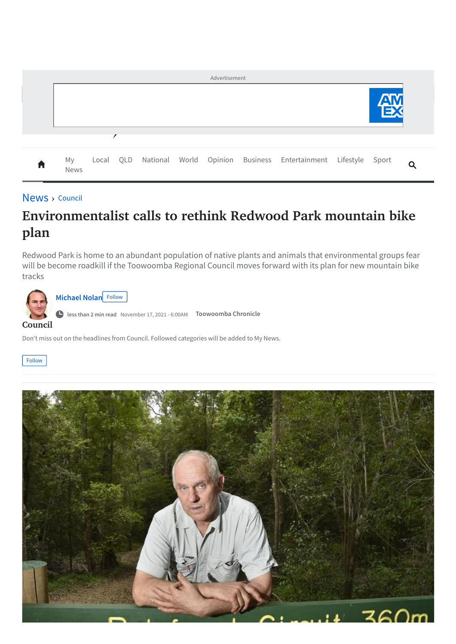| Advertisement |            |  |  |  |  |  |  |                                                                   |  |       |  |
|---------------|------------|--|--|--|--|--|--|-------------------------------------------------------------------|--|-------|--|
|               |            |  |  |  |  |  |  |                                                                   |  |       |  |
|               |            |  |  |  |  |  |  |                                                                   |  |       |  |
| In.           | My<br>News |  |  |  |  |  |  | Local QLD National World Opinion Business Entertainment Lifestyle |  | Sport |  |

## [News](https://www.thechronicle.com.au/news) > [Council](https://www.thechronicle.com.au/news/council)

## **Environmentalist calls to rethink Redwood Park mountain bike plan**

Redwood Park is home to an abundant population of native plants and animals that environmental groups fear will be become roadkill if the Toowoomba Regional Council moves forward with its plan for new mountain bike tracks



Don't miss out on the headlines from Council. Followed categories will be added to My News.